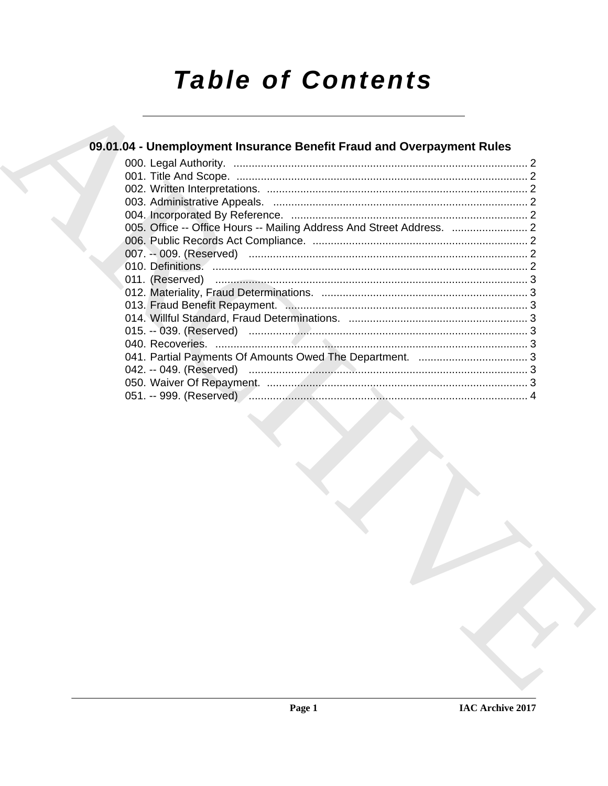# **Table of Contents**

### 09.01.04 - Unemployment Insurance Benefit Fraud and Overpayment Rules 005. Office -- Office Hours -- Mailing Address And Street Address. .................................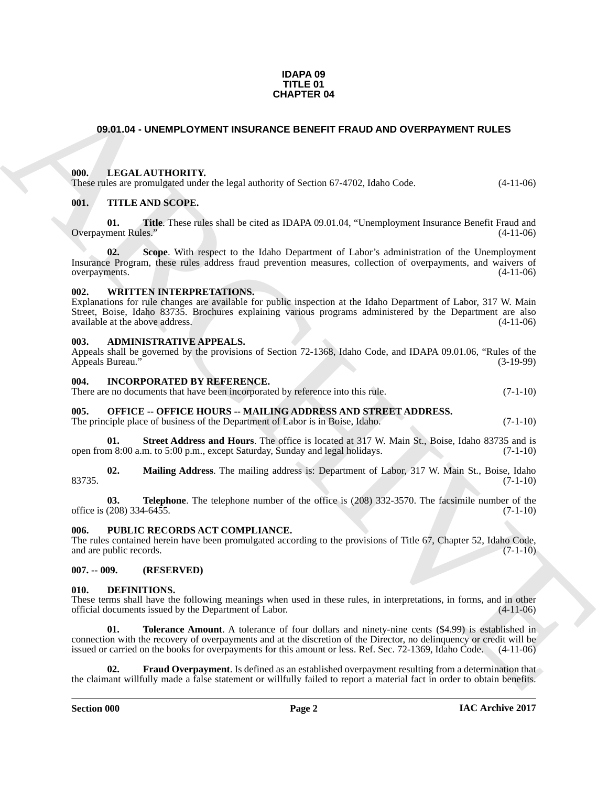#### **IDAPA 09 TITLE 01 CHAPTER 04**

#### <span id="page-1-0"></span>**09.01.04 - UNEMPLOYMENT INSURANCE BENEFIT FRAUD AND OVERPAYMENT RULES**

#### <span id="page-1-1"></span>**000. LEGAL AUTHORITY.**

These rules are promulgated under the legal authority of Section 67-4702, Idaho Code. (4-11-06)

#### <span id="page-1-2"></span>**001. TITLE AND SCOPE.**

**01. Title**. These rules shall be cited as IDAPA 09.01.04, "Unemployment Insurance Benefit Fraud and Overpayment Rules." (4-11-06)

**CHAPTER OF**<br> **CHARCHIVE INTERFERIT READY AND COVERIVATELY** RULES<br> **CHARCHIVE INTERFERIT CONFIDENT** IS a region of the state of the state of the state of the state of the state of the state of the state of the state of th **02. Scope**. With respect to the Idaho Department of Labor's administration of the Unemployment Insurance Program, these rules address fraud prevention measures, collection of overpayments, and waivers of overpayments.

#### <span id="page-1-3"></span>**002. WRITTEN INTERPRETATIONS.**

Explanations for rule changes are available for public inspection at the Idaho Department of Labor, 317 W. Main Street, Boise, Idaho 83735. Brochures explaining various programs administered by the Department are also available at the above address.

#### <span id="page-1-4"></span>**003. ADMINISTRATIVE APPEALS.**

| Appeals shall be governed by the provisions of Section 72-1368, Idaho Code, and IDAPA 09.01.06, "Rules of the |  |  |  |             |
|---------------------------------------------------------------------------------------------------------------|--|--|--|-------------|
| Appeals Bureau."                                                                                              |  |  |  | $(3-19-99)$ |

#### <span id="page-1-5"></span>**004. INCORPORATED BY REFERENCE.**

There are no documents that have been incorporated by reference into this rule. (7-1-10)

#### <span id="page-1-6"></span>**005. OFFICE -- OFFICE HOURS -- MAILING ADDRESS AND STREET ADDRESS.**

The principle place of business of the Department of Labor is in Boise, Idaho. (7-1-10)

**01.** Street Address and Hours. The office is located at 317 W. Main St., Boise, Idaho 83735 and is m 8:00 a.m. to 5:00 p.m., except Saturday. Sunday and legal holidays. (7-1-10) open from 8:00 a.m. to 5:00 p.m., except Saturday, Sunday and legal holidays.

**02. Mailing Address**. The mailing address is: Department of Labor, 317 W. Main St., Boise, Idaho  $83735.$  (7-1-10)

**03. Telephone**. The telephone number of the office is (208) 332-3570. The facsimile number of the (208) 334-6455. office is  $(208)$  334-6455.

#### <span id="page-1-7"></span>**006. PUBLIC RECORDS ACT COMPLIANCE.**

The rules contained herein have been promulgated according to the provisions of Title 67, Chapter 52, Idaho Code, and are public records. (7-1-10) and are public records.

#### <span id="page-1-8"></span>**007. -- 009. (RESERVED)**

#### <span id="page-1-10"></span><span id="page-1-9"></span>**010. DEFINITIONS.**

These terms shall have the following meanings when used in these rules, in interpretations, in forms, and in other official documents issued by the Department of Labor. (4-11-06) official documents issued by the Department of Labor.

<span id="page-1-12"></span>**01. Tolerance Amount**. A tolerance of four dollars and ninety-nine cents (\$4.99) is established in connection with the recovery of overpayments and at the discretion of the Director, no delinquency or credit will be issued or carried on the books for overpayments for this amount or less. Ref. Sec. 72-1369, Idaho Code. (4-11-06)

<span id="page-1-11"></span>**02. Fraud Overpayment**. Is defined as an established overpayment resulting from a determination that the claimant willfully made a false statement or willfully failed to report a material fact in order to obtain benefits.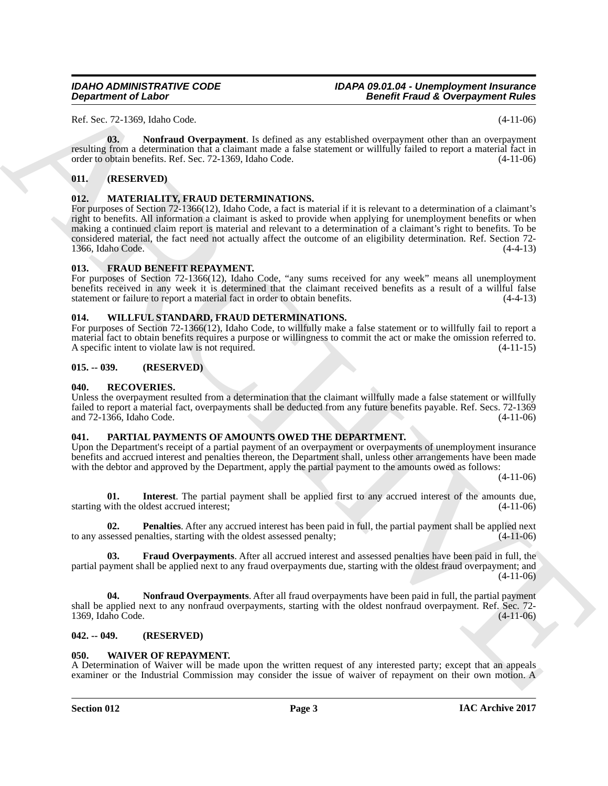#### *IDAHO ADMINISTRATIVE CODE IDAPA 09.01.04 - Unemployment Insurance Benefit Fraud & Overpayment Rules*

Ref. Sec. 72-1369, Idaho Code. (4-11-06)

<span id="page-2-9"></span>**03. Nonfraud Overpayment**. Is defined as any established overpayment other than an overpayment resulting from a determination that a claimant made a false statement or willfully failed to report a material fact in order to obtain benefits. Ref. Sec. 72-1369, Idaho Code. (4-11-06)

#### <span id="page-2-0"></span>**011. (RESERVED)**

#### <span id="page-2-11"></span><span id="page-2-1"></span>**012. MATERIALITY, FRAUD DETERMINATIONS.**

**Department of Lakes<br>
Rct. 72:350, lake Core.<br>
Rct. 22:350, lake Core.<br>
Rct. 22:350, lake Core.<br>
Rct. 22:350, lake Core.<br>
Rct. 22:350, lake Core. 22:350, lake Core. 22:350, lake Content of collider and propose a distribut** For purposes of Section 72-1366(12), Idaho Code, a fact is material if it is relevant to a determination of a claimant's right to benefits. All information a claimant is asked to provide when applying for unemployment benefits or when making a continued claim report is material and relevant to a determination of a claimant's right to benefits. To be considered material, the fact need not actually affect the outcome of an eligibility determination. Ref. Section 72- 1366, Idaho Code. (4-4-13)

#### <span id="page-2-10"></span><span id="page-2-2"></span>**013. FRAUD BENEFIT REPAYMENT.**

For purposes of Section 72-1366(12), Idaho Code, "any sums received for any week" means all unemployment benefits received in any week it is determined that the claimant received benefits as a result of a willful false statement or failure to report a material fact in order to obtain benefits. (4-4-13)

#### <span id="page-2-17"></span><span id="page-2-3"></span>**014. WILLFUL STANDARD, FRAUD DETERMINATIONS.**

For purposes of Section 72-1366(12), Idaho Code, to willfully make a false statement or to willfully fail to report a material fact to obtain benefits requires a purpose or willingness to commit the act or make the omission referred to.<br>A specific intent to violate law is not required. A specific intent to violate law is not required.

#### <span id="page-2-4"></span>**015. -- 039. (RESERVED)**

#### <span id="page-2-16"></span><span id="page-2-5"></span>**040. RECOVERIES.**

Unless the overpayment resulted from a determination that the claimant willfully made a false statement or willfully failed to report a material fact, overpayments shall be deducted from any future benefits payable. Ref. Secs. 72-1369 and 72-1366, Idaho Code.

#### <span id="page-2-6"></span>**041. PARTIAL PAYMENTS OF AMOUNTS OWED THE DEPARTMENT.**

Upon the Department's receipt of a partial payment of an overpayment or overpayments of unemployment insurance benefits and accrued interest and penalties thereon, the Department shall, unless other arrangements have been made with the debtor and approved by the Department, apply the partial payment to the amounts owed as follows:

 $(4-11-06)$ 

<span id="page-2-13"></span>**01. Interest**. The partial payment shall be applied first to any accrued interest of the amounts due, with the oldest accrued interest: (4-11-06) starting with the oldest accrued interest;

<span id="page-2-15"></span>**02. Penalties**. After any accrued interest has been paid in full, the partial payment shall be applied next to any assessed penalties, starting with the oldest assessed penalty; (4-11-06)

<span id="page-2-12"></span>**03. Fraud Overpayments**. After all accrued interest and assessed penalties have been paid in full, the partial payment shall be applied next to any fraud overpayments due, starting with the oldest fraud overpayment; and  $(4-11-06)$ 

<span id="page-2-14"></span>**04. Nonfraud Overpayments**. After all fraud overpayments have been paid in full, the partial payment shall be applied next to any nonfraud overpayments, starting with the oldest nonfraud overpayment. Ref. Sec. 72- 1369, Idaho Code.

#### <span id="page-2-7"></span>**042. -- 049. (RESERVED)**

#### <span id="page-2-8"></span>**050. WAIVER OF REPAYMENT.**

A Determination of Waiver will be made upon the written request of any interested party; except that an appeals examiner or the Industrial Commission may consider the issue of waiver of repayment on their own motion. A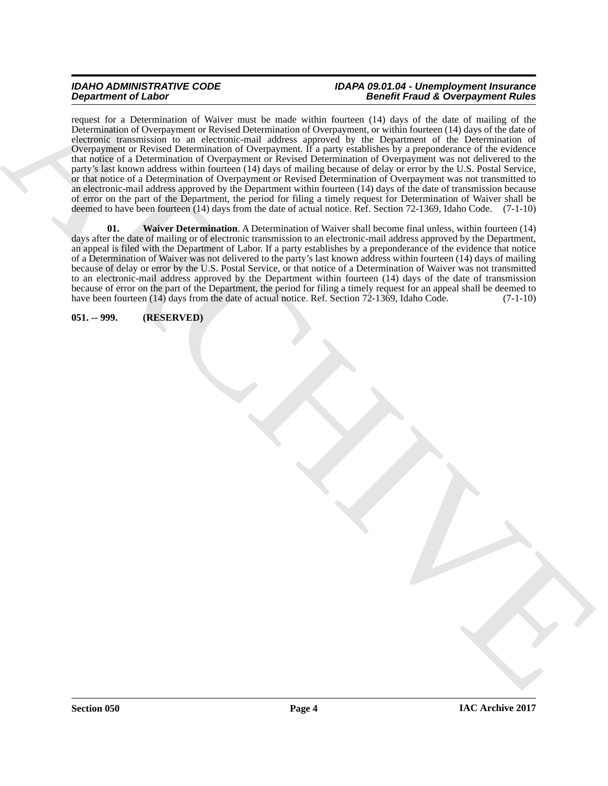#### *IDAHO ADMINISTRATIVE CODE IDAPA 09.01.04 - Unemployment Insurance Benefit Fraud & Overpayment Rules*

**Experiment of Linkary Theorem and Control and Science of Linkary Control and Science of Linkary Control and Science of Linkary Control and Science of Linkary Control and Science of Linkary Control and Science of Linkary** request for a Determination of Waiver must be made within fourteen (14) days of the date of mailing of the Determination of Overpayment or Revised Determination of Overpayment, or within fourteen (14) days of the date of electronic transmission to an electronic-mail address approved by the Department of the Determination of Overpayment or Revised Determination of Overpayment. If a party establishes by a preponderance of the evidence that notice of a Determination of Overpayment or Revised Determination of Overpayment was not delivered to the party's last known address within fourteen (14) days of mailing because of delay or error by the U.S. Postal Service, or that notice of a Determination of Overpayment or Revised Determination of Overpayment was not transmitted to an electronic-mail address approved by the Department within fourteen (14) days of the date of transmission because of error on the part of the Department, the period for filing a timely request for Determination of Waiver shall be deemed to have been fourteen (14) days from the date of actual notice. Ref. Section 72-1369, Idaho Code. (7-1-10)

<span id="page-3-1"></span>**01. Waiver Determination**. A Determination of Waiver shall become final unless, within fourteen (14) days after the date of mailing or of electronic transmission to an electronic-mail address approved by the Department, an appeal is filed with the Department of Labor. If a party establishes by a preponderance of the evidence that notice of a Determination of Waiver was not delivered to the party's last known address within fourteen (14) days of mailing because of delay or error by the U.S. Postal Service, or that notice of a Determination of Waiver was not transmitted to an electronic-mail address approved by the Department within fourteen (14) days of the date of transmission because of error on the part of the Department, the period for filing a timely request for an appeal shall be deemed to have been fourteen (14) days from the date of actual notice. Ref. Section 72-1369, Idaho Code.  $(7-1-10)$ 

<span id="page-3-0"></span>**051. -- 999. (RESERVED)**